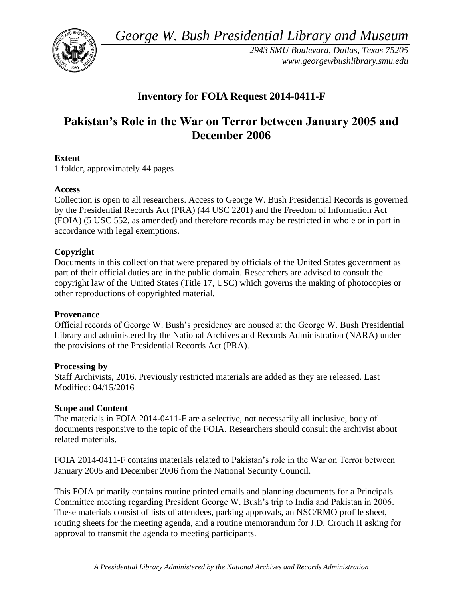*George W. Bush Presidential Library and Museum* 



*2943 SMU Boulevard, Dallas, Texas 75205 <www.georgewbushlibrary.smu.edu>* 

# **Inventory for FOIA Request 2014-0411-F**

# **Pakistan's Role in the War on Terror between January 2005 and December 2006**

## **Extent**

1 folder, approximately 44 pages

#### **Access**

Collection is open to all researchers. Access to George W. Bush Presidential Records is governed by the Presidential Records Act (PRA) (44 USC 2201) and the Freedom of Information Act (FOIA) (5 USC 552, as amended) and therefore records may be restricted in whole or in part in accordance with legal exemptions.

## **Copyright**

 Documents in this collection that were prepared by officials of the United States government as part of their official duties are in the public domain. Researchers are advised to consult the copyright law of the United States (Title 17, USC) which governs the making of photocopies or other reproductions of copyrighted material.

#### **Provenance**

Official records of George W. Bush's presidency are housed at the George W. Bush Presidential Library and administered by the National Archives and Records Administration (NARA) under the provisions of the Presidential Records Act (PRA).

#### **Processing by**

Staff Archivists, 2016. Previously restricted materials are added as they are released. Last Modified: 04/15/2016

#### **Scope and Content**

 documents responsive to the topic of the FOIA. Researchers should consult the archivist about The materials in FOIA 2014-0411-F are a selective, not necessarily all inclusive, body of related materials.

FOIA 2014-0411-F contains materials related to Pakistan's role in the War on Terror between January 2005 and December 2006 from the National Security Council.

This FOIA primarily contains routine printed emails and planning documents for a Principals Committee meeting regarding President George W. Bush's trip to India and Pakistan in 2006. These materials consist of lists of attendees, parking approvals, an NSC/RMO profile sheet, routing sheets for the meeting agenda, and a routine memorandum for J.D. Crouch II asking for approval to transmit the agenda to meeting participants.